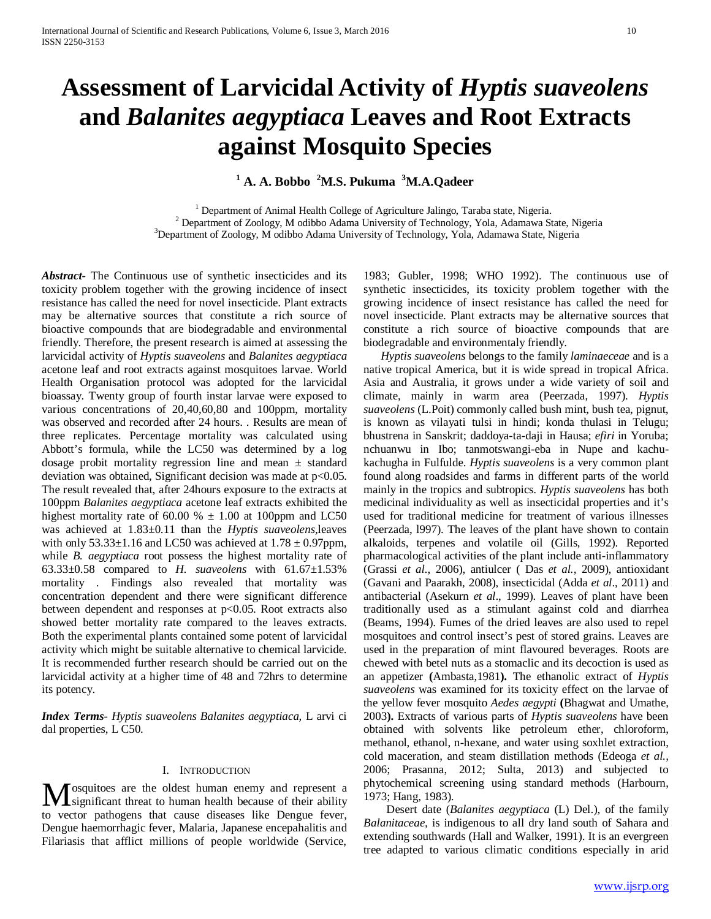# **Assessment of Larvicidal Activity of** *Hyptis suaveolens* **and** *Balanites aegyptiaca* **Leaves and Root Extracts against Mosquito Species**

**<sup>1</sup> A. A. Bobbo <sup>2</sup> M.S. Pukuma <sup>3</sup> M.A.Qadeer**

<sup>1</sup> Department of Animal Health College of Agriculture Jalingo, Taraba state, Nigeria.  $2$  Department of Zoology, M odibbo Adama University of Technology, Yola, Adamawa State, Nigeria <sup>3</sup>Department of Zoology, M odibbo Adama University of Technology, Yola, Adamawa State, Nigeria

*Abstract***-** The Continuous use of synthetic insecticides and its toxicity problem together with the growing incidence of insect resistance has called the need for novel insecticide. Plant extracts may be alternative sources that constitute a rich source of bioactive compounds that are biodegradable and environmental friendly. Therefore, the present research is aimed at assessing the larvicidal activity of *Hyptis suaveolens* and *Balanites aegyptiaca* acetone leaf and root extracts against mosquitoes larvae. World Health Organisation protocol was adopted for the larvicidal bioassay. Twenty group of fourth instar larvae were exposed to various concentrations of 20,40,60,80 and 100ppm, mortality was observed and recorded after 24 hours. . Results are mean of three replicates. Percentage mortality was calculated using Abbott's formula, while the LC50 was determined by a log dosage probit mortality regression line and mean  $\pm$  standard deviation was obtained, Significant decision was made at p<0.05. The result revealed that, after 24hours exposure to the extracts at 100ppm *Balanites aegyptiaca* acetone leaf extracts exhibited the highest mortality rate of 60.00 %  $\pm$  1.00 at 100ppm and LC50 was achieved at 1.83±0.11 than the *Hyptis suaveolens,*leaves with only  $53.33\pm1.16$  and LC50 was achieved at  $1.78 \pm 0.97$ ppm, while *B. aegyptiaca* root possess the highest mortality rate of 63.33±0.58 compared to *H. suaveolens* with 61.67±1.53% mortality . Findings also revealed that mortality was concentration dependent and there were significant difference between dependent and responses at  $p<0.05$ . Root extracts also showed better mortality rate compared to the leaves extracts. Both the experimental plants contained some potent of larvicidal activity which might be suitable alternative to chemical larvicide. It is recommended further research should be carried out on the larvicidal activity at a higher time of 48 and 72hrs to determine its potency.

*Index Terms*- *Hyptis suaveolens Balanites aegyptiaca,* L arvi ci dal properties, L C50.

## I. INTRODUCTION

osquitoes are the oldest human enemy and represent a **M** osquitoes are the oldest human enemy and represent a significant threat to human health because of their ability to vector pathogens that cause diseases like Dengue fever, Dengue haemorrhagic fever, Malaria, Japanese encepahalitis and Filariasis that afflict millions of people worldwide (Service,

1983; Gubler, 1998; WHO 1992). The continuous use of synthetic insecticides, its toxicity problem together with the growing incidence of insect resistance has called the need for novel insecticide. Plant extracts may be alternative sources that constitute a rich source of bioactive compounds that are biodegradable and environmentaly friendly.

 *Hyptis suaveolens* belongs to the family *laminaeceae* and is a native tropical America, but it is wide spread in tropical Africa. Asia and Australia, it grows under a wide variety of soil and climate, mainly in warm area (Peerzada, 1997). *Hyptis suaveolens* (L.Poit) commonly called bush mint, bush tea, pignut, is known as vilayati tulsi in hindi; konda thulasi in Telugu; bhustrena in Sanskrit; daddoya-ta-daji in Hausa; *efiri* in Yoruba; nchuanwu in Ibo; tanmotswangi-eba in Nupe and kachukachugha in Fulfulde. *Hyptis suaveolens* is a very common plant found along roadsides and farms in different parts of the world mainly in the tropics and subtropics. *Hyptis suaveolens* has both medicinal individuality as well as insecticidal properties and it's used for traditional medicine for treatment of various illnesses (Peerzada, l997). The leaves of the plant have shown to contain alkaloids, terpenes and volatile oil (Gills, 1992). Reported pharmacological activities of the plant include anti-inflammatory (Grassi *et al*., 2006), antiulcer ( Das *et al.,* 2009), antioxidant (Gavani and Paarakh, 2008), insecticidal (Adda *et al*., 2011) and antibacterial (Asekurn *et al*., 1999). Leaves of plant have been traditionally used as a stimulant against cold and diarrhea (Beams, 1994). Fumes of the dried leaves are also used to repel mosquitoes and control insect's pest of stored grains. Leaves are used in the preparation of mint flavoured beverages. Roots are chewed with betel nuts as a stomaclic and its decoction is used as an appetizer **(**Ambasta,1981**).** The ethanolic extract of *Hyptis suaveolens* was examined for its toxicity effect on the larvae of the yellow fever mosquito *Aedes aegypti* **(**Bhagwat and Umathe, 2003**).** Extracts of various parts of *Hyptis suaveolens* have been obtained with solvents like petroleum ether, chloroform, methanol, ethanol, n-hexane, and water using soxhlet extraction, cold maceration, and steam distillation methods (Edeoga *et al.,*  2006; Prasanna, 2012; Sulta, 2013) and subjected to phytochemical screening using standard methods (Harbourn, 1973; Hang, 1983).

 Desert date (*Balanites aegyptiaca* (L) Del.), of the family *Balanitaceae,* is indigenous to all dry land south of Sahara and extending southwards (Hall and Walker, 1991). It is an evergreen tree adapted to various climatic conditions especially in arid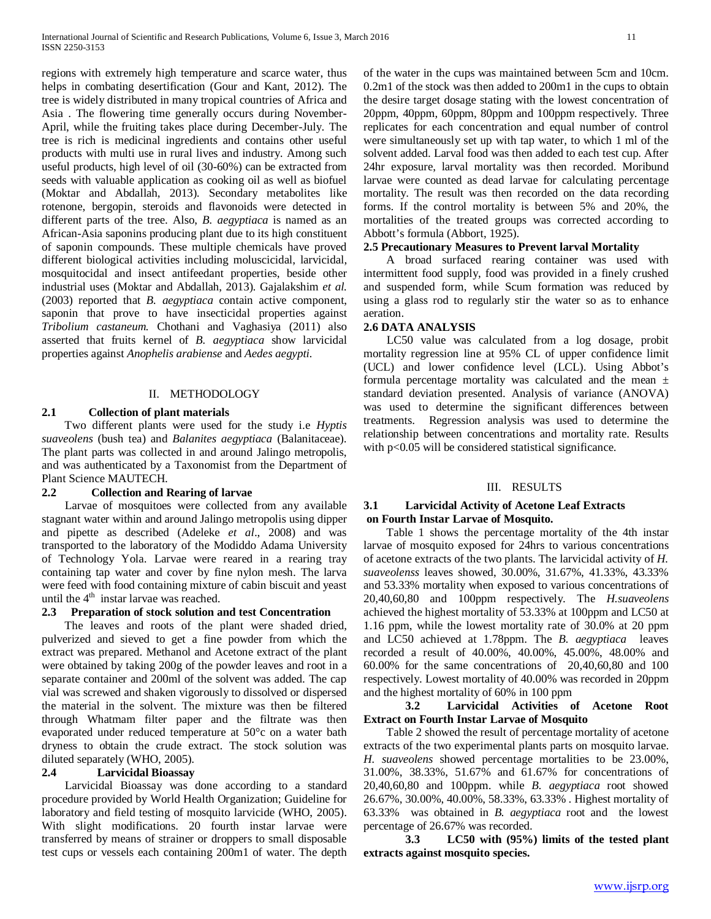regions with extremely high temperature and scarce water, thus helps in combating desertification (Gour and Kant, 2012). The tree is widely distributed in many tropical countries of Africa and Asia . The flowering time generally occurs during November-April, while the fruiting takes place during December-July. The tree is rich is medicinal ingredients and contains other useful products with multi use in rural lives and industry. Among such useful products, high level of oil (30-60%) can be extracted from seeds with valuable application as cooking oil as well as biofuel (Moktar and Abdallah, 2013). Secondary metabolites like rotenone, bergopin, steroids and flavonoids were detected in different parts of the tree. Also, *B. aegyptiaca* is named as an African-Asia saponins producing plant due to its high constituent of saponin compounds. These multiple chemicals have proved different biological activities including moluscicidal, larvicidal, mosquitocidal and insect antifeedant properties, beside other industrial uses (Moktar and Abdallah, 2013). Gajalakshim *et al.* (2003) reported that *B. aegyptiaca* contain active component, saponin that prove to have insecticidal properties against *Tribolium castaneum.* Chothani and Vaghasiya (2011) also asserted that fruits kernel of *B. aegyptiaca* show larvicidal properties against *Anophelis arabiense* and *Aedes aegypti.*

## II. METHODOLOGY

## **2.1 Collection of plant materials**

 Two different plants were used for the study i.e *Hyptis suaveolens* (bush tea) and *Balanites aegyptiaca* (Balanitaceae). The plant parts was collected in and around Jalingo metropolis, and was authenticated by a Taxonomist from the Department of Plant Science MAUTECH.

#### **2.2 Collection and Rearing of larvae**

 Larvae of mosquitoes were collected from any available stagnant water within and around Jalingo metropolis using dipper and pipette as described (Adeleke *et al*., 2008) and was transported to the laboratory of the Modiddo Adama University of Technology Yola. Larvae were reared in a rearing tray containing tap water and cover by fine nylon mesh. The larva were feed with food containing mixture of cabin biscuit and yeast until the  $4<sup>th</sup>$  instar larvae was reached.

# **2.3 Preparation of stock solution and test Concentration**

 The leaves and roots of the plant were shaded dried, pulverized and sieved to get a fine powder from which the extract was prepared. Methanol and Acetone extract of the plant were obtained by taking 200g of the powder leaves and root in a separate container and 200ml of the solvent was added. The cap vial was screwed and shaken vigorously to dissolved or dispersed the material in the solvent. The mixture was then be filtered through Whatmam filter paper and the filtrate was then evaporated under reduced temperature at 50°c on a water bath dryness to obtain the crude extract. The stock solution was diluted separately (WHO, 2005).

## **2.4 Larvicidal Bioassay**

 Larvicidal Bioassay was done according to a standard procedure provided by World Health Organization; Guideline for laboratory and field testing of mosquito larvicide (WHO, 2005). With slight modifications. 20 fourth instar larvae were transferred by means of strainer or droppers to small disposable test cups or vessels each containing 200m1 of water. The depth of the water in the cups was maintained between 5cm and 10cm. 0.2m1 of the stock was then added to 200m1 in the cups to obtain the desire target dosage stating with the lowest concentration of 20ppm, 40ppm, 60ppm, 80ppm and 100ppm respectively. Three replicates for each concentration and equal number of control were simultaneously set up with tap water, to which 1 ml of the solvent added. Larval food was then added to each test cup. After 24hr exposure, larval mortality was then recorded. Moribund larvae were counted as dead larvae for calculating percentage mortality. The result was then recorded on the data recording forms. If the control mortality is between 5% and 20%, the mortalities of the treated groups was corrected according to Abbott's formula (Abbort, 1925).

#### **2.5 Precautionary Measures to Prevent larval Mortality**

 A broad surfaced rearing container was used with intermittent food supply, food was provided in a finely crushed and suspended form, while Scum formation was reduced by using a glass rod to regularly stir the water so as to enhance aeration.

#### **2.6 DATA ANALYSIS**

 LC50 value was calculated from a log dosage, probit mortality regression line at 95% CL of upper confidence limit (UCL) and lower confidence level (LCL). Using Abbot's formula percentage mortality was calculated and the mean  $\pm$ standard deviation presented. Analysis of variance (ANOVA) was used to determine the significant differences between treatments. Regression analysis was used to determine the relationship between concentrations and mortality rate. Results with p<0.05 will be considered statistical significance.

#### III. RESULTS

## **3.1 Larvicidal Activity of Acetone Leaf Extracts on Fourth Instar Larvae of Mosquito.**

 Table 1 shows the percentage mortality of the 4th instar larvae of mosquito exposed for 24hrs to various concentrations of acetone extracts of the two plants. The larvicidal activity of *H. suaveolenss* leaves showed, 30.00%, 31.67%, 41.33%, 43.33% and 53.33% mortality when exposed to various concentrations of 20,40,60,80 and 100ppm respectively. The *H.suaveolens* achieved the highest mortality of 53.33% at 100ppm and LC50 at 1.16 ppm, while the lowest mortality rate of 30.0% at 20 ppm and LC50 achieved at 1.78ppm. The *B. aegyptiaca* leaves recorded a result of 40.00%, 40.00%, 45.00%, 48.00% and 60.00% for the same concentrations of 20,40,60,80 and 100 respectively. Lowest mortality of 40.00% was recorded in 20ppm and the highest mortality of 60% in 100 ppm

## **3.2 Larvicidal Activities of Acetone Root Extract on Fourth Instar Larvae of Mosquito**

 Table 2 showed the result of percentage mortality of acetone extracts of the two experimental plants parts on mosquito larvae. *H. suaveolens* showed percentage mortalities to be 23.00%, 31.00%, 38.33%, 51.67% and 61.67% for concentrations of 20,40,60,80 and 100ppm. while *B. aegyptiaca* root showed 26.67%, 30.00%, 40.00%, 58.33%, 63.33% . Highest mortality of 63.33% was obtained in *B. aegyptiaca* root and the lowest percentage of 26.67% was recorded.

**3.3 LC50 with (95%) limits of the tested plant extracts against mosquito species.**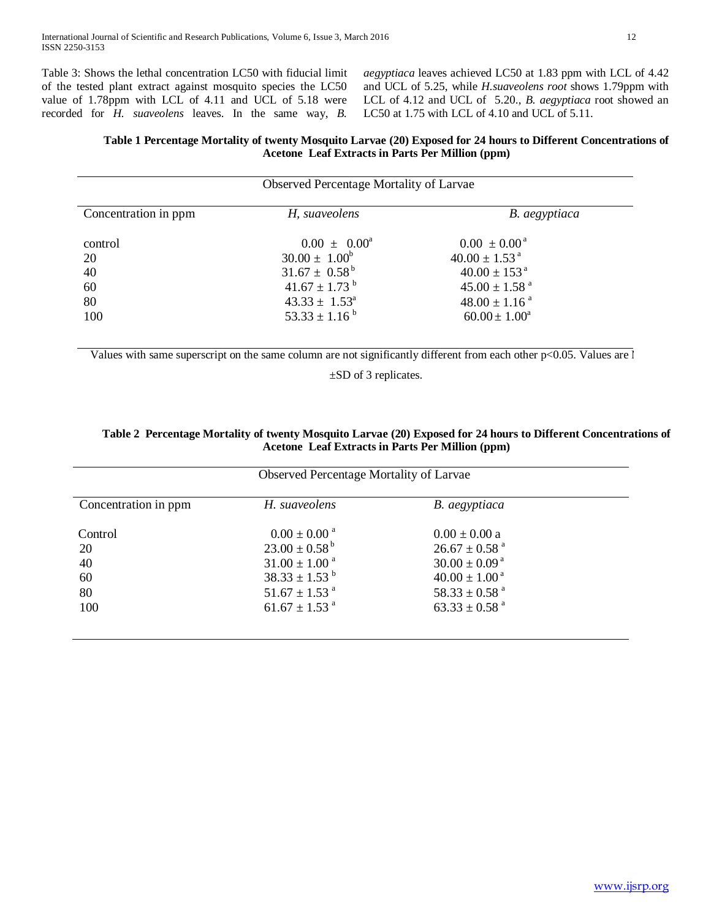Table 3: Shows the lethal concentration LC50 with fiducial limit of the tested plant extract against mosquito species the LC50 value of 1.78ppm with LCL of 4.11 and UCL of 5.18 were recorded for *H. suaveolens* leaves. In the same way, *B.* 

*aegyptiaca* leaves achieved LC50 at 1.83 ppm with LCL of 4.42 and UCL of 5.25, while *H.suaveolens root* shows 1.79ppm with LCL of 4.12 and UCL of 5.20., *B. aegyptiaca* root showed an LC50 at 1.75 with LCL of 4.10 and UCL of 5.11.

# **Table 1 Percentage Mortality of twenty Mosquito Larvae (20) Exposed for 24 hours to Different Concentrations of Acetone Leaf Extracts in Parts Per Million (ppm)**

| Observed Percentage Mortality of Larvae |                                                                                                                                                                       |                                                                                                                                                                                     |  |  |  |
|-----------------------------------------|-----------------------------------------------------------------------------------------------------------------------------------------------------------------------|-------------------------------------------------------------------------------------------------------------------------------------------------------------------------------------|--|--|--|
| Concentration in ppm                    | H, suaveolens                                                                                                                                                         | B. aegyptiaca                                                                                                                                                                       |  |  |  |
| control<br>20<br>40<br>60<br>80<br>100  | $0.00 \pm 0.00^a$<br>$30.00 \pm 1.00^b$<br>$31.67 \pm 0.58^{\mathrm{b}}$<br>$41.67 \pm 1.73$ <sup>b</sup><br>$43.33 \pm 1.53^{\circ}$<br>$53.33 \pm 1.16^{\text{ b}}$ | $0.00 \pm 0.00^{\text{a}}$<br>$40.00 \pm 1.53$ <sup>a</sup><br>$40.00 \pm 153$ <sup>a</sup><br>$45.00 \pm 1.58$ <sup>a</sup><br>$48.00 \pm 1.16$ <sup>a</sup><br>$60.00 \pm 1.00^a$ |  |  |  |

Values with same superscript on the same column are not significantly different from each other  $p<0.05$ . Values are l

±SD of 3 replicates.

# **Table 2 Percentage Mortality of twenty Mosquito Larvae (20) Exposed for 24 hours to Different Concentrations of Acetone Leaf Extracts in Parts Per Million (ppm)**

| Observed Percentage Mortality of Larvae |                               |                               |  |  |
|-----------------------------------------|-------------------------------|-------------------------------|--|--|
| Concentration in ppm                    | H. suaveolens                 | B. aegyptiaca                 |  |  |
| Control                                 | $0.00 \pm 0.00$ <sup>a</sup>  | $0.00 \pm 0.00 a$             |  |  |
| 20                                      | $23.00 \pm 0.58^{\mathrm{b}}$ | $26.67 \pm 0.58$ <sup>a</sup> |  |  |
| 40                                      | $31.00 \pm 1.00$ <sup>a</sup> | $30.00 \pm 0.09^{\text{ a}}$  |  |  |
| 60                                      | $38.33 \pm 1.53^{\mathrm{b}}$ | $40.00 \pm 1.00^{\text{ a}}$  |  |  |
| 80                                      | $51.67 \pm 1.53$ <sup>a</sup> | $58.33 \pm 0.58$ <sup>a</sup> |  |  |
| 100                                     | $61.67 \pm 1.53$ <sup>a</sup> | $63.33 \pm 0.58$ <sup>a</sup> |  |  |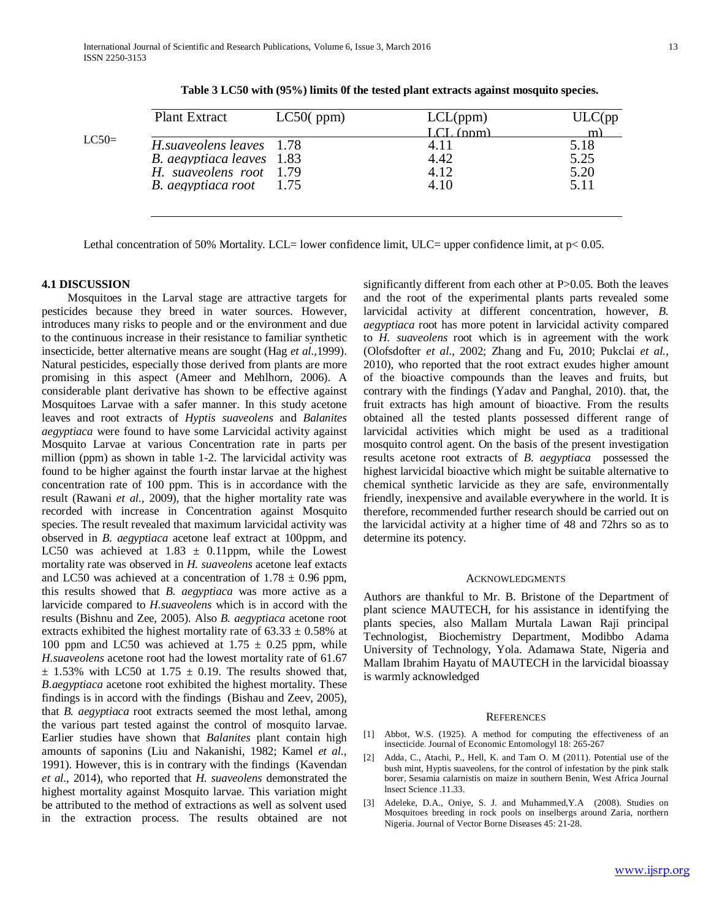|         | <b>Plant Extract</b>      | LC50(ppm) | LCL(ppm) | ULC(pp) |
|---------|---------------------------|-----------|----------|---------|
|         |                           |           | (nnm)    | m)      |
| $LC50=$ | H. suaveolens leaves 1.78 |           | 4.11     | 5.18    |
|         | B. aegyptiaca leaves 1.83 |           | 4.42     | 5.25    |
|         | H. suaveolens root 1.79   |           | 4.12     | 5.20    |
|         | B. aegyptiaca root        | 1.75      | 4.10     | 5.11    |
|         |                           |           |          |         |
|         |                           |           |          |         |

 **Table 3 LC50 with (95%) limits 0f the tested plant extracts against mosquito species.**

Lethal concentration of 50% Mortality. LCL= lower confidence limit, ULC= upper confidence limit, at  $p< 0.05$ .

#### **4.1 DISCUSSION**

 Mosquitoes in the Larval stage are attractive targets for pesticides because they breed in water sources. However, introduces many risks to people and or the environment and due to the continuous increase in their resistance to familiar synthetic insecticide, better alternative means are sought (Hag *et al.,*1999). Natural pesticides, especially those derived from plants are more promising in this aspect (Ameer and Mehlhorn, 2006). A considerable plant derivative has shown to be effective against Mosquitoes Larvae with a safer manner. In this study acetone leaves and root extracts of *Hyptis suaveolens* and *Balanites aegyptiaca* were found to have some Larvicidal activity against Mosquito Larvae at various Concentration rate in parts per million (ppm) as shown in table 1-2. The larvicidal activity was found to be higher against the fourth instar larvae at the highest concentration rate of 100 ppm. This is in accordance with the result (Rawani *et al.,* 2009), that the higher mortality rate was recorded with increase in Concentration against Mosquito species. The result revealed that maximum larvicidal activity was observed in *B. aegyptiaca* acetone leaf extract at 100ppm, and LC50 was achieved at  $1.83 \pm 0.11$ ppm, while the Lowest mortality rate was observed in *H. suaveolens* acetone leaf extacts and LC50 was achieved at a concentration of  $1.78 \pm 0.96$  ppm, this results showed that *B. aegyptiaca* was more active as a larvicide compared to *H.suaveolens* which is in accord with the results (Bishnu and Zee, 2005). Also *B. aegyptiaca* acetone root extracts exhibited the highest mortality rate of  $63.33 \pm 0.58\%$  at 100 ppm and LC50 was achieved at  $1.75 \pm 0.25$  ppm, while *H.suaveolens* acetone root had the lowest mortality rate of 61.67  $\pm$  1.53% with LC50 at 1.75  $\pm$  0.19. The results showed that, *B.aegyptiaca* acetone root exhibited the highest mortality. These findings is in accord with the findings (Bishau and Zeev, 2005), that *B. aegyptiaca* root extracts seemed the most lethal, among the various part tested against the control of mosquito larvae. Earlier studies have shown that *Balanites* plant contain high amounts of saponins (Liu and Nakanishi, 1982; Kamel *et al.,* 1991). However, this is in contrary with the findings (Kavendan *et al.*, 2014), who reported that *H. suaveolens* demonstrated the highest mortality against Mosquito larvae. This variation might be attributed to the method of extractions as well as solvent used in the extraction process. The results obtained are not significantly different from each other at P>0.05. Both the leaves and the root of the experimental plants parts revealed some larvicidal activity at different concentration, however, *B. aegyptiaca* root has more potent in larvicidal activity compared to *H. suaveolens* root which is in agreement with the work (Olofsdofter *et al*., 2002; Zhang and Fu, 2010; Pukclai *et al.*, 2010), who reported that the root extract exudes higher amount of the bioactive compounds than the leaves and fruits, but contrary with the findings (Yadav and Panghal, 2010). that, the fruit extracts has high amount of bioactive. From the results obtained all the tested plants possessed different range of larvicidal activities which might be used as a traditional mosquito control agent. On the basis of the present investigation results acetone root extracts of *B. aegyptiaca* possessed the highest larvicidal bioactive which might be suitable alternative to chemical synthetic larvicide as they are safe, environmentally friendly, inexpensive and available everywhere in the world. It is therefore, recommended further research should be carried out on the larvicidal activity at a higher time of 48 and 72hrs so as to determine its potency.

#### ACKNOWLEDGMENTS

Authors are thankful to Mr. B. Bristone of the Department of plant science MAUTECH, for his assistance in identifying the plants species, also Mallam Murtala Lawan Raji principal Technologist, Biochemistry Department, Modibbo Adama University of Technology, Yola. Adamawa State, Nigeria and Mallam Ibrahim Hayatu of MAUTECH in the larvicidal bioassay is warmly acknowledged

#### **REFERENCES**

- [1] Abbot, W.S. (1925). A method for computing the effectiveness of an insecticide. Journal of Economic Entomologyl 18: 265-267
- [2] Adda, C., Atachi, P., Hell, K. and Tam O. M (2011). Potential use of the bush mint, Hyptis suaveolens, for the control of infestation by the pink stalk borer, Sesamia calarnistis on maize in southern Benin, West Africa Journal lnsect Science .11.33.
- [3] Adeleke, D.A., Oniye, S. J. and Muhammed, Y.A (2008). Studies on Mosquitoes breeding in rock pools on inselbergs around Zaria, northern Nigeria. Journal of Vector Borne Diseases 45: 21-28.